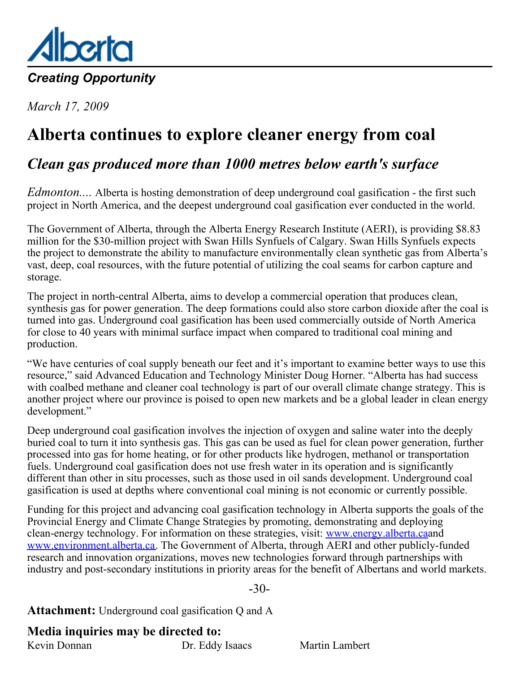<span id="page-0-0"></span>

*March 17, 2009*

## **Alberta continues to explore cleaner energy from coal**

### *Clean gas produced more than 1000 metres below earth's surface*

*Edmonton....* Alberta is hosting demonstration of deep underground coal gasification - the first such project in North America, and the deepest underground coal gasification ever conducted in the world.

The Government of Alberta, through the Alberta Energy Research Institute (AERI), is providing \$8.83 million for the \$30-million project with Swan Hills Synfuels of Calgary. Swan Hills Synfuels expects the project to demonstrate the ability to manufacture environmentally clean synthetic gas from Alberta's vast, deep, coal resources, with the future potential of utilizing the coal seams for carbon capture and storage.

The project in north-central Alberta, aims to develop a commercial operation that produces clean, synthesis gas for power generation. The deep formations could also store carbon dioxide after the coal is turned into gas. Underground coal gasification has been used commercially outside of North America for close to 40 years with minimal surface impact when compared to traditional coal mining and production.

"We have centuries of coal supply beneath our feet and it's important to examine better ways to use this resource," said Advanced Education and Technology Minister Doug Horner. "Alberta has had success with coalbed methane and cleaner coal technology is part of our overall climate change strategy. This is another project where our province is poised to open new markets and be a global leader in clean energy development."

Deep underground coal gasification involves the injection of oxygen and saline water into the deeply buried coal to turn it into synthesis gas. This gas can be used as fuel for clean power generation, further processed into gas for home heating, or for other products like hydrogen, methanol or transportation fuels. Underground coal gasification does not use fresh water in its operation and is significantly different than other in situ processes, such as those used in oil sands development. Underground coal gasification is used at depths where conventional coal mining is not economic or currently possible.

Funding for this project and advancing coal gasification technology in Alberta supports the goals of the Provincial Energy and Climate Change Strategies by promoting, demonstrating and deploying clean-energy technology. For information on these strategies, visit: [www.energy.alberta.ca](http://www.energy.alberta.ca/)and [www.environment.alberta.ca](http://www.environment.alberta.ca). The Government of Alberta, through AERI and other publicly-funded research and innovation organizations, moves new technologies forward through partnerships with industry and post-secondary institutions in priority areas for the benefit of Albertans and world markets.

-30-

**Attachment:** Underground coal gasification Q and A

**Media inquiries may be directed to:**

Kevin Donnan Dr. Eddy Isaacs Martin Lambert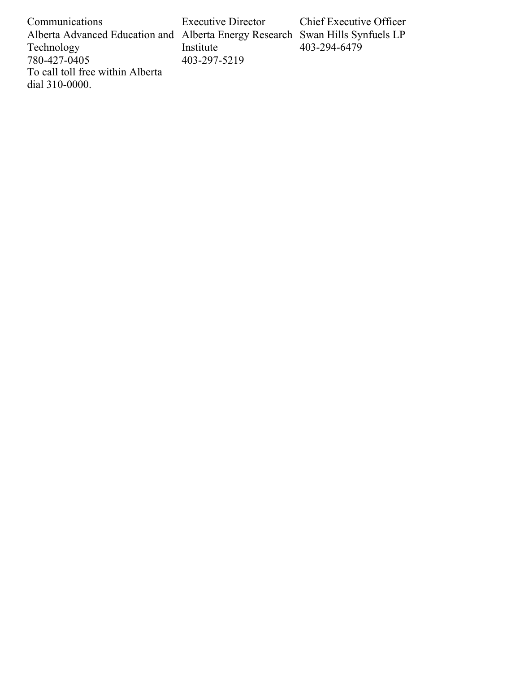Communications Alberta Advanced Education and Alberta Energy Research Swan Hills Synfuels LP Technology 780-427-0405 To call toll free within Alberta dial 310-0000. Executive Director Institute 403-297-5219 Chief Executive Officer 403-294-6479